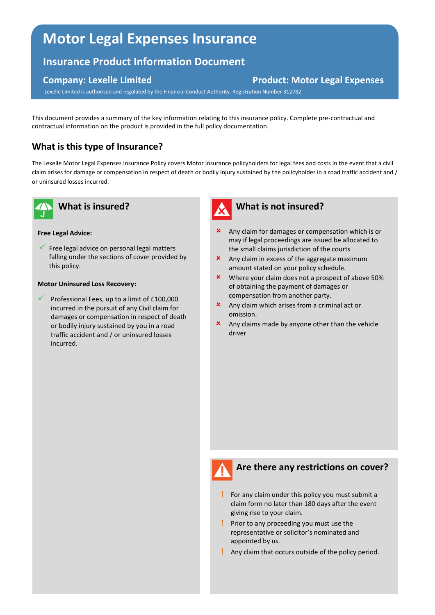# **Motor Legal Expenses Insurance**

# **Insurance Product Information Document**

#### **Company: Lexelle Limited Company: Lexelle Limited Company: Lexelle Limited Company: Lexelle Limited Company: Lexelle Limited Company: Lexelle Limited Company: Lexelle Limited Company: Lexelle Limited Company: Lexelle Limi**

Lexelle Limited is authorised and regulated by the Financial Conduct Authority. Registration Number 312782

This document provides a summary of the key information relating to this insurance policy. Complete pre-contractual and contractual information on the product is provided in the full policy documentation.

# **What is this type of Insurance?**

The Lexelle Motor Legal Expenses Insurance Policy covers Motor Insurance policyholders for legal fees and costs in the event that a civil claim arises for damage or compensation in respect of death or bodily injury sustained by the policyholder in a road traffic accident and / or uninsured losses incurred.



# **What is insured?**

#### **Free Legal Advice:**

 $\checkmark$  Free legal advice on personal legal matters falling under the sections of cover provided by this policy.

#### **Motor Uninsured Loss Recovery:**

 Professional Fees, up to a limit of £100,000 incurred in the pursuit of any Civil claim for damages or compensation in respect of death or bodily injury sustained by you in a road traffic accident and / or uninsured losses incurred.



#### **What is not insured?**

- **x** Any claim for damages or compensation which is or may if legal proceedings are issued be allocated to the small claims jurisdiction of the courts
- **x** Any claim in excess of the aggregate maximum amount stated on your policy schedule.
- **\*** Where your claim does not a prospect of above 50% of obtaining the payment of damages or compensation from another party.
- Any claim which arises from a criminal act or omission.
- $\boldsymbol{\times}$  Any claims made by anyone other than the vehicle driver



## **Are there any restrictions on cover?**

- For any claim under this policy you must submit a claim form no later than 180 days after the event giving rise to your claim.
- **Prior to any proceeding you must use the** representative or solicitor's nominated and appointed by us.
- Any claim that occurs outside of the policy period.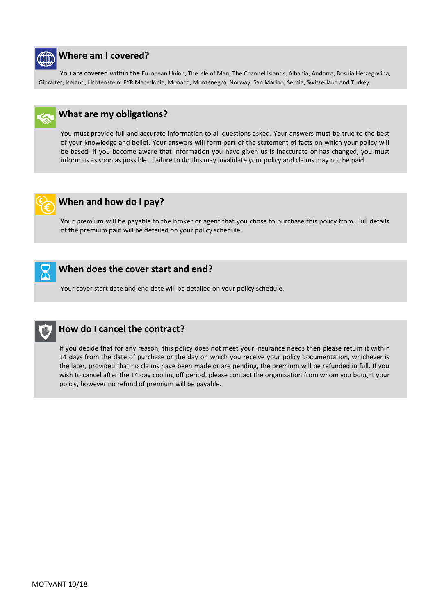

#### **Where am I covered?**

 You are covered within the European Union, The Isle of Man, The Channel Islands, Albania, Andorra, Bosnia Herzegovina, Gibralter, Iceland, Lichtenstein, FYR Macedonia, Monaco, Montenegro, Norway, San Marino, Serbia, Switzerland and Turkey.



You must provide full and accurate information to all questions asked. Your answers must be true to the best of your knowledge and belief. Your answers will form part of the statement of facts on which your policy will be based. If you become aware that information you have given us is inaccurate or has changed, you must inform us as soon as possible. Failure to do this may invalidate your policy and claims may not be paid.



## **When and how do I pay?**

Your premium will be payable to the broker or agent that you chose to purchase this policy from. Full details of the premium paid will be detailed on your policy schedule.



# **When does the cover start and end?**

Your cover start date and end date will be detailed on your policy schedule.



.

## **How do I cancel the contract?**

If you decide that for any reason, this policy does not meet your insurance needs then please return it within 14 days from the date of purchase or the day on which you receive your policy documentation, whichever is the later, provided that no claims have been made or are pending, the premium will be refunded in full. If you wish to cancel after the 14 day cooling off period, please contact the organisation from whom you bought your policy, however no refund of premium will be payable.